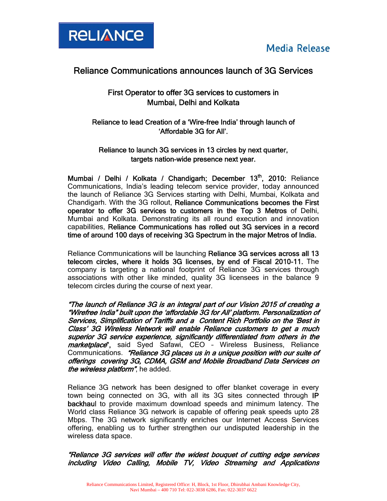

## Reliance Communications announces launch of 3G Services

## First Operator to offer 3G services to customers in Mumbai, Delhi and Kolkata

Reliance to lead Creation of a 'Wire-free India' through launch of 'Affordable 3G for All'.

### Reliance to launch 3G services in 13 circles by next quarter, targets nation-wide presence next year.

Mumbai / Delhi / Kolkata / Chandigarh; December 13<sup>th</sup>, 2010: Reliance Communications, India's leading telecom service provider, today announced the launch of Reliance 3G Services starting with Delhi, Mumbai, Kolkata and Chandigarh. With the 3G rollout, Reliance Communications becomes the First operator to offer 3G services to customers in the Top 3 Metros of Delhi, Mumbai and Kolkata. Demonstrating its all round execution and innovation capabilities, Reliance Communications has rolled out 3G services in a record time of around 100 days of receiving 3G Spectrum in the major Metros of India.

Reliance Communications will be launching Reliance 3G services across all 13 telecom circles, where it holds 3G licenses, by end of Fiscal 2010-11. The company is targeting a national footprint of Reliance 3G services through associations with other like minded, quality 3G licensees in the balance 9 telecom circles during the course of next year.

"The launch of Reliance 3G is an integral part of our Vision 2015 of creating a "Wirefree India" built upon the 'affordable 3G for All' platform. Personalization of Services, Simplification of Tariffs and a Content Rich Portfolio on the 'Best in Class' 3G Wireless Network will enable Reliance customers to get a much superior 3G service experience, significantly differentiated from others in the marketplace", said Syed Safawi, CEO - Wireless Business, Reliance Communications. "Reliance 3G places us in a unique position with our suite of offerings covering 3G, CDMA, GSM and Mobile Broadband Data Services on the wireless platform", he added.

Reliance 3G network has been designed to offer blanket coverage in every town being connected on 3G, with all its 3G sites connected through IP backhaul to provide maximum download speeds and minimum latency. The World class Reliance 3G network is capable of offering peak speeds upto 28 Mbps. The 3G network significantly enriches our Internet Access Services offering, enabling us to further strengthen our undisputed leadership in the wireless data space.

"Reliance 3G services will offer the widest bouquet of cutting edge services including Video Calling, Mobile TV, Video Streaming and Applications